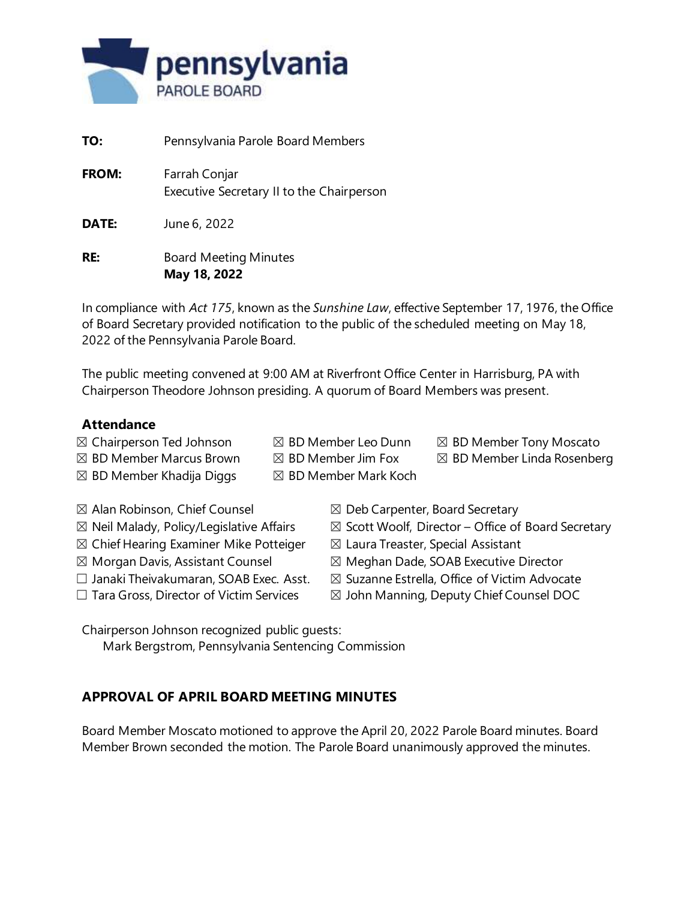

| TO:          | Pennsylvania Parole Board Members                          |
|--------------|------------------------------------------------------------|
| <b>FROM:</b> | Farrah Conjar<br>Executive Secretary II to the Chairperson |
| DATE:        | June 6, 2022                                               |
| RE:          | <b>Board Meeting Minutes</b><br>May 18, 2022               |

In compliance with *Act 175*, known as the *Sunshine Law*, effective September 17, 1976, the Office of Board Secretary provided notification to the public of the scheduled meeting on May 18, 2022 of the Pennsylvania Parole Board.

The public meeting convened at 9:00 AM at Riverfront Office Center in Harrisburg, PA with Chairperson Theodore Johnson presiding. A quorum of Board Members was present.

#### **Attendance**

- $\boxtimes$  Chairperson Ted Johnson  $\boxtimes$  BD Member Leo Dunn  $\boxtimes$  BD Member Tony Moscato
	-
- 
- $\boxtimes$  BD Member Marcus Brown  $\boxtimes$  BD Member Jim Fox  $\boxtimes$  BD Member Linda Rosenberg
- $\boxtimes$  BD Member Khadija Diggs  $\boxtimes$  BD Member Mark Koch
- 
- 
- 
- $\boxtimes$  Chief Hearing Examiner Mike Potteiger  $\boxtimes$  Laura Treaster, Special Assistant
- 
- 
- 
- $\boxtimes$  Alan Robinson, Chief Counsel  $\boxtimes$  Deb Carpenter, Board Secretary
- $\boxtimes$  Neil Malady, Policy/Legislative Affairs  $\boxtimes$  Scott Woolf, Director Office of Board Secretary
	-
- $\boxtimes$  Morgan Davis, Assistant Counsel  $\boxtimes$  Meghan Dade, SOAB Executive Director
- $\Box$  Janaki Theivakumaran, SOAB Exec. Asst.  $\boxtimes$  Suzanne Estrella, Office of Victim Advocate
- $\Box$  Tara Gross, Director of Victim Services  $\Box$  John Manning, Deputy Chief Counsel DOC

Chairperson Johnson recognized public guests:

Mark Bergstrom, Pennsylvania Sentencing Commission

# **APPROVAL OF APRIL BOARD MEETING MINUTES**

Board Member Moscato motioned to approve the April 20, 2022 Parole Board minutes. Board Member Brown seconded the motion. The Parole Board unanimously approved the minutes.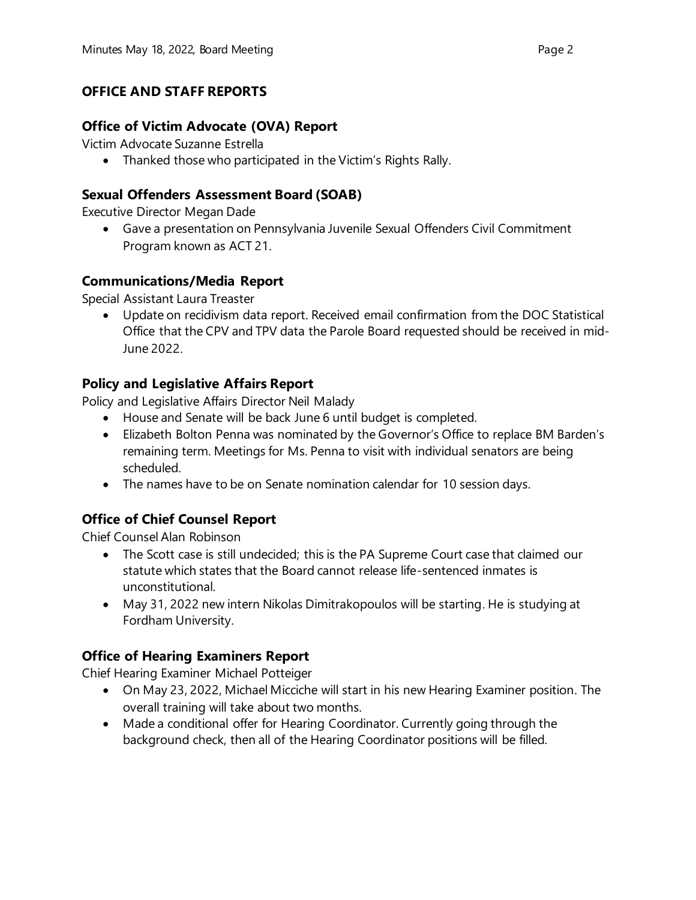# **OFFICE AND STAFF REPORTS**

#### **Office of Victim Advocate (OVA) Report**

Victim Advocate Suzanne Estrella

• Thanked those who participated in the Victim's Rights Rally.

#### **Sexual Offenders Assessment Board (SOAB)**

Executive Director Megan Dade

• Gave a presentation on Pennsylvania Juvenile Sexual Offenders Civil Commitment Program known as ACT 21.

#### **Communications/Media Report**

Special Assistant Laura Treaster

• Update on recidivism data report. Received email confirmation from the DOC Statistical Office that the CPV and TPV data the Parole Board requested should be received in mid-June 2022.

#### **Policy and Legislative Affairs Report**

Policy and Legislative Affairs Director Neil Malady

- House and Senate will be back June 6 until budget is completed.
- Elizabeth Bolton Penna was nominated by the Governor's Office to replace BM Barden's remaining term. Meetings for Ms. Penna to visit with individual senators are being scheduled.
- The names have to be on Senate nomination calendar for 10 session days.

# **Office of Chief Counsel Report**

Chief Counsel Alan Robinson

- The Scott case is still undecided; this is the PA Supreme Court case that claimed our statute which states that the Board cannot release life-sentenced inmates is unconstitutional.
- May 31, 2022 new intern Nikolas Dimitrakopoulos will be starting. He is studying at Fordham University.

# **Office of Hearing Examiners Report**

Chief Hearing Examiner Michael Potteiger

- On May 23, 2022, Michael Micciche will start in his new Hearing Examiner position. The overall training will take about two months.
- Made a conditional offer for Hearing Coordinator. Currently going through the background check, then all of the Hearing Coordinator positions will be filled.